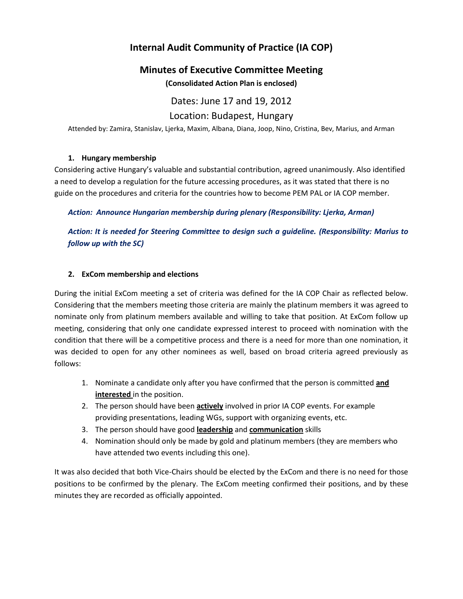# **Internal Audit Community of Practice (IA COP)**

## **Minutes of Executive Committee Meeting**

**(Consolidated Action Plan is enclosed)**

Dates: June 17 and 19, 2012

Location: Budapest, Hungary

Attended by: Zamira, Stanislav, Ljerka, Maxim, Albana, Diana, Joop, Nino, Cristina, Bev, Marius, and Arman

## **1. Hungary membership**

Considering active Hungary's valuable and substantial contribution, agreed unanimously. Also identified a need to develop a regulation for the future accessing procedures, as it was stated that there is no guide on the procedures and criteria for the countries how to become PEM PAL or IA COP member.

*Action: Announce Hungarian membership during plenary (Responsibility: Ljerka, Arman)*

*Action: It is needed for Steering Committee to design such a guideline. (Responsibility: Marius to follow up with the SC)*

## **2. ExCom membership and elections**

During the initial ExCom meeting a set of criteria was defined for the IA COP Chair as reflected below. Considering that the members meeting those criteria are mainly the platinum members it was agreed to nominate only from platinum members available and willing to take that position. At ExCom follow up meeting, considering that only one candidate expressed interest to proceed with nomination with the condition that there will be a competitive process and there is a need for more than one nomination, it was decided to open for any other nominees as well, based on broad criteria agreed previously as follows:

- 1. Nominate a candidate only after you have confirmed that the person is committed **and interested** in the position.
- 2. The person should have been **actively** involved in prior IA COP events. For example providing presentations, leading WGs, support with organizing events, etc.
- 3. The person should have good **leadership** and **communication** skills
- 4. Nomination should only be made by gold and platinum members (they are members who have attended two events including this one).

It was also decided that both Vice-Chairs should be elected by the ExCom and there is no need for those positions to be confirmed by the plenary. The ExCom meeting confirmed their positions, and by these minutes they are recorded as officially appointed.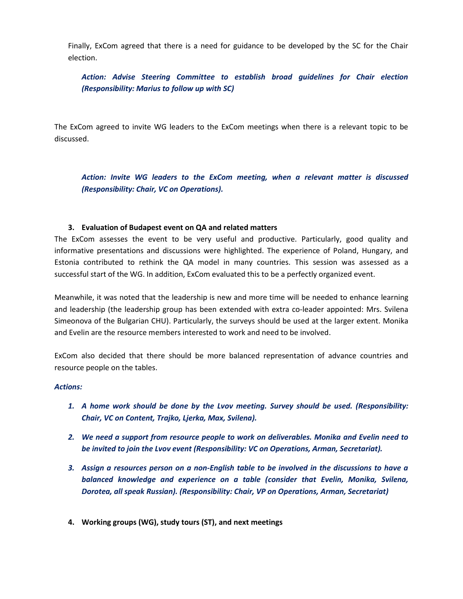Finally, ExCom agreed that there is a need for guidance to be developed by the SC for the Chair election.

*Action: Advise Steering Committee to establish broad guidelines for Chair election (Responsibility: Marius to follow up with SC)*

The ExCom agreed to invite WG leaders to the ExCom meetings when there is a relevant topic to be discussed.

*Action: Invite WG leaders to the ExCom meeting, when a relevant matter is discussed (Responsibility: Chair, VC on Operations).*

#### **3. Evaluation of Budapest event on QA and related matters**

The ExCom assesses the event to be very useful and productive. Particularly, good quality and informative presentations and discussions were highlighted. The experience of Poland, Hungary, and Estonia contributed to rethink the QA model in many countries. This session was assessed as a successful start of the WG. In addition, ExCom evaluated this to be a perfectly organized event.

Meanwhile, it was noted that the leadership is new and more time will be needed to enhance learning and leadership (the leadership group has been extended with extra co-leader appointed: Mrs. Svilena Simeonova of the Bulgarian CHU). Particularly, the surveys should be used at the larger extent. Monika and Evelin are the resource members interested to work and need to be involved.

ExCom also decided that there should be more balanced representation of advance countries and resource people on the tables.

#### *Actions:*

- *1. A home work should be done by the Lvov meeting. Survey should be used. (Responsibility: Chair, VC on Content, Trajko, Ljerka, Max, Svilena).*
- *2. We need a support from resource people to work on deliverables. Monika and Evelin need to be invited to join the Lvov event (Responsibility: VC on Operations, Arman, Secretariat).*
- *3. Assign a resources person on a non-English table to be involved in the discussions to have a balanced knowledge and experience on a table (consider that Evelin, Monika, Svilena, Dorotea, all speak Russian). (Responsibility: Chair, VP on Operations, Arman, Secretariat)*
- **4. Working groups (WG), study tours (ST), and next meetings**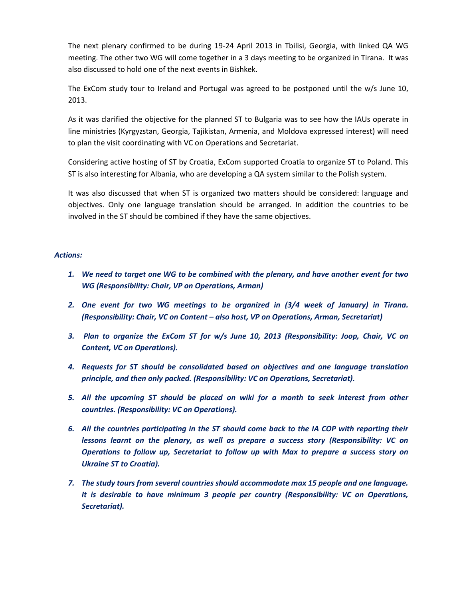The next plenary confirmed to be during 19-24 April 2013 in Tbilisi, Georgia, with linked QA WG meeting. The other two WG will come together in a 3 days meeting to be organized in Tirana. It was also discussed to hold one of the next events in Bishkek.

The ExCom study tour to Ireland and Portugal was agreed to be postponed until the w/s June 10, 2013.

As it was clarified the objective for the planned ST to Bulgaria was to see how the IAUs operate in line ministries (Kyrgyzstan, Georgia, Tajikistan, Armenia, and Moldova expressed interest) will need to plan the visit coordinating with VC on Operations and Secretariat.

Considering active hosting of ST by Croatia, ExCom supported Croatia to organize ST to Poland. This ST is also interesting for Albania, who are developing a QA system similar to the Polish system.

It was also discussed that when ST is organized two matters should be considered: language and objectives. Only one language translation should be arranged. In addition the countries to be involved in the ST should be combined if they have the same objectives.

#### *Actions:*

- *1. We need to target one WG to be combined with the plenary, and have another event for two WG (Responsibility: Chair, VP on Operations, Arman)*
- *2. One event for two WG meetings to be organized in (3/4 week of January) in Tirana. (Responsibility: Chair, VC on Content – also host, VP on Operations, Arman, Secretariat)*
- *3. Plan to organize the ExCom ST for w/s June 10, 2013 (Responsibility: Joop, Chair, VC on Content, VC on Operations).*
- *4. Requests for ST should be consolidated based on objectives and one language translation principle, and then only packed. (Responsibility: VC on Operations, Secretariat).*
- *5. All the upcoming ST should be placed on wiki for a month to seek interest from other countries. (Responsibility: VC on Operations).*
- *6. All the countries participating in the ST should come back to the IA COP with reporting their lessons learnt on the plenary, as well as prepare a success story (Responsibility: VC on Operations to follow up, Secretariat to follow up with Max to prepare a success story on Ukraine ST to Croatia).*
- *7. The study tours from several countries should accommodate max 15 people and one language. It is desirable to have minimum 3 people per country (Responsibility: VC on Operations, Secretariat).*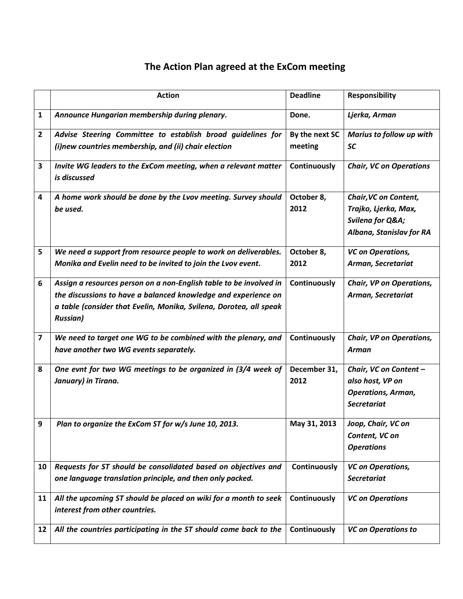# **The Action Plan agreed at the ExCom meeting**

|                         | <b>Action</b>                                                                                      | <b>Deadline</b>    | <b>Responsibility</b>                                                                        |
|-------------------------|----------------------------------------------------------------------------------------------------|--------------------|----------------------------------------------------------------------------------------------|
| 1                       | Announce Hungarian membership during plenary.                                                      | Done.              | Ljerka, Arman                                                                                |
| $\overline{2}$          | Advise Steering Committee to establish broad guidelines for                                        | By the next SC     | Marius to follow up with                                                                     |
|                         | (i)new countries membership, and (ii) chair election                                               | meeting            | SC                                                                                           |
| 3                       | Invite WG leaders to the ExCom meeting, when a relevant matter<br>is discussed                     | Continuously       | <b>Chair, VC on Operations</b>                                                               |
| 4                       | A home work should be done by the Lvov meeting. Survey should<br>be used.                          | October 8,<br>2012 | Chair, VC on Content,<br>Trajko, Ljerka, Max,<br>Svilena for Q&A<br>Albana, Stanislav for RA |
| 5                       | We need a support from resource people to work on deliverables.                                    | October 8,         | <b>VC</b> on Operations,                                                                     |
|                         | Monika and Evelin need to be invited to join the Lvov event.                                       | 2012               | Arman, Secretariat                                                                           |
| 6                       | Assign a resources person on a non-English table to be involved in                                 | Continuously       | Chair, VP on Operations,                                                                     |
|                         | the discussions to have a balanced knowledge and experience on                                     |                    | Arman, Secretariat                                                                           |
|                         | a table (consider that Evelin, Monika, Svilena, Dorotea, all speak<br><b>Russian)</b>              |                    |                                                                                              |
| $\overline{\mathbf{z}}$ | We need to target one WG to be combined with the plenary, and                                      | Continuously       | Chair, VP on Operations,                                                                     |
|                         | have another two WG events separately.                                                             |                    | Arman                                                                                        |
| 8                       | One evnt for two WG meetings to be organized in (3/4 week of                                       | December 31,       | Chair, VC on Content -                                                                       |
|                         | January) in Tirana.                                                                                | 2012               | also host, VP on                                                                             |
|                         |                                                                                                    |                    | <b>Operations, Arman,</b>                                                                    |
|                         |                                                                                                    |                    | <b>Secretariat</b>                                                                           |
| 9                       | Plan to organize the ExCom ST for w/s June 10, 2013.                                               | May 31, 2013       | Joop, Chair, VC on                                                                           |
|                         |                                                                                                    |                    | Content, VC on                                                                               |
|                         |                                                                                                    |                    | <b>Operations</b>                                                                            |
| 10                      | Requests for ST should be consolidated based on objectives and                                     | Continuously       | <b>VC</b> on Operations,                                                                     |
|                         | one language translation principle, and then only packed.                                          |                    | <b>Secretariat</b>                                                                           |
| 11                      | All the upcoming ST should be placed on wiki for a month to seek<br>interest from other countries. | Continuously       | <b>VC on Operations</b>                                                                      |
| 12                      | All the countries participating in the ST should come back to the                                  | Continuously       | <b>VC on Operations to</b>                                                                   |